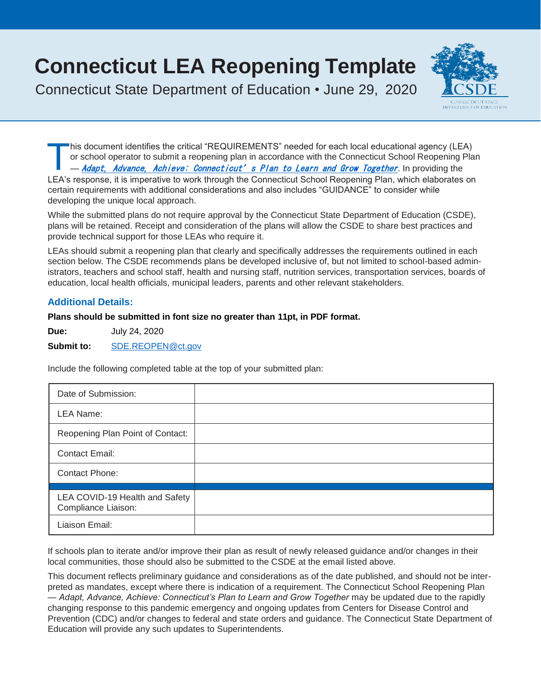# **Connecticut LEA Reopening Template**

Connecticut State Department of Education • June 29, 2020



T his document identifies the critical "REQUIREMENTS" needed for each local educational agency (LEA) or school operator to submit a reopening plan in accordance with the Connecticut School Reopening Plan - [Adapt, Advance, Achieve: Connecticut's Plan to Learn and Grow Together](https://portal.ct.gov/-/media/SDE/COVID-19/CTReopeningSchools.pdf). In providing the LEA's response, it is imperative to work through the Connecticut School Reopening Plan, which elaborates on certain requirements with additional considerations and also includes "GUIDANCE" to consider while developing the unique local approach.

**1 Connecticut LEA Reopening Template**

While the submitted plans do not require approval by the Connecticut State Department of Education (CSDE), plans will be retained. Receipt and consideration of the plans will allow the CSDE to share best practices and provide technical support for those LEAs who require it.

LEAs should submit a reopening plan that clearly and specifically addresses the requirements outlined in each section below. The CSDE recommends plans be developed inclusive of, but not limited to school-based administrators, teachers and school staff, health and nursing staff, nutrition services, transportation services, boards of education, local health officials, municipal leaders, parents and other relevant stakeholders.

# **Additional Details:**

# **Plans should be submitted in font size no greater than 11pt, in PDF format.**

**Due:** July 24, 2020

**Submit to:** [SDE.REOPEN@ct.gov](mailto:SDE.REOPEN@ct.gov)

Include the following completed table at the top of your submitted plan:

| Date of Submission:                                   |  |
|-------------------------------------------------------|--|
| LEA Name:                                             |  |
| Reopening Plan Point of Contact:                      |  |
| <b>Contact Email:</b>                                 |  |
| Contact Phone:                                        |  |
|                                                       |  |
| LEA COVID-19 Health and Safety<br>Compliance Liaison: |  |
| Liaison Email:                                        |  |

If schools plan to iterate and/or improve their plan as result of newly released guidance and/or changes in their local communities, those should also be submitted to the CSDE at the email listed above.

This document reflects preliminary guidance and considerations as of the date published, and should not be interpreted as mandates, except where there is indication of a requirement. The Connecticut School Reopening Plan — *Adapt, Advance, Achieve: Connecticut's Plan to Learn and Grow Together* may be updated due to the rapidly changing response to this pandemic emergency and ongoing updates from Centers for Disease Control and Prevention (CDC) and/or changes to federal and state orders and guidance. The Connecticut State Department of Education will provide any such updates to Superintendents.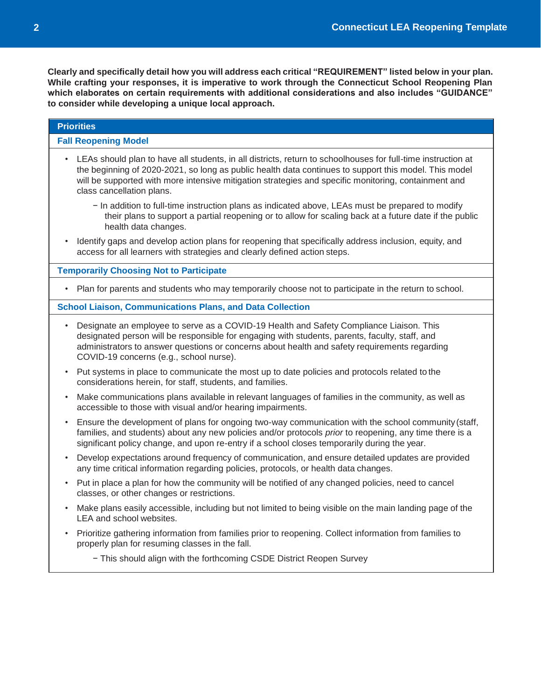| <b>Priorities</b>                                                                                                                                                                                                                                                                                                                                          |  |  |  |
|------------------------------------------------------------------------------------------------------------------------------------------------------------------------------------------------------------------------------------------------------------------------------------------------------------------------------------------------------------|--|--|--|
| <b>Fall Reopening Model</b>                                                                                                                                                                                                                                                                                                                                |  |  |  |
| LEAs should plan to have all students, in all districts, return to schoolhouses for full-time instruction at<br>the beginning of 2020-2021, so long as public health data continues to support this model. This model<br>will be supported with more intensive mitigation strategies and specific monitoring, containment and<br>class cancellation plans. |  |  |  |
| - In addition to full-time instruction plans as indicated above, LEAs must be prepared to modify<br>their plans to support a partial reopening or to allow for scaling back at a future date if the public<br>health data changes.                                                                                                                         |  |  |  |
| Identify gaps and develop action plans for reopening that specifically address inclusion, equity, and<br>access for all learners with strategies and clearly defined action steps.                                                                                                                                                                         |  |  |  |
| <b>Temporarily Choosing Not to Participate</b>                                                                                                                                                                                                                                                                                                             |  |  |  |
| Plan for parents and students who may temporarily choose not to participate in the return to school.                                                                                                                                                                                                                                                       |  |  |  |
| <b>School Liaison, Communications Plans, and Data Collection</b>                                                                                                                                                                                                                                                                                           |  |  |  |
| Designate an employee to serve as a COVID-19 Health and Safety Compliance Liaison. This<br>$\bullet$<br>designated person will be responsible for engaging with students, parents, faculty, staff, and<br>administrators to answer questions or concerns about health and safety requirements regarding<br>COVID-19 concerns (e.g., school nurse).         |  |  |  |
| Put systems in place to communicate the most up to date policies and protocols related to the<br>considerations herein, for staff, students, and families.                                                                                                                                                                                                 |  |  |  |
| Make communications plans available in relevant languages of families in the community, as well as<br>accessible to those with visual and/or hearing impairments.                                                                                                                                                                                          |  |  |  |
| Ensure the development of plans for ongoing two-way communication with the school community (staff,<br>families, and students) about any new policies and/or protocols prior to reopening, any time there is a<br>significant policy change, and upon re-entry if a school closes temporarily during the year.                                             |  |  |  |
| Develop expectations around frequency of communication, and ensure detailed updates are provided<br>any time critical information regarding policies, protocols, or health data changes.                                                                                                                                                                   |  |  |  |
| Put in place a plan for how the community will be notified of any changed policies, need to cancel<br>classes, or other changes or restrictions.                                                                                                                                                                                                           |  |  |  |
| Make plans easily accessible, including but not limited to being visible on the main landing page of the<br>LEA and school websites.                                                                                                                                                                                                                       |  |  |  |
| Prioritize gathering information from families prior to reopening. Collect information from families to<br>properly plan for resuming classes in the fall.                                                                                                                                                                                                 |  |  |  |
| - This should align with the forthcoming CSDE District Reopen Survey                                                                                                                                                                                                                                                                                       |  |  |  |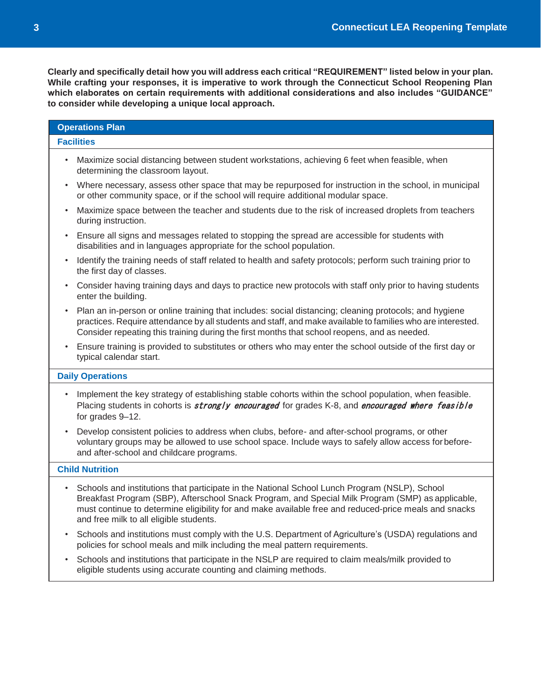| <b>Operations Plan</b>                                                                                                                                                                                                                                                                                                                                              |  |  |  |
|---------------------------------------------------------------------------------------------------------------------------------------------------------------------------------------------------------------------------------------------------------------------------------------------------------------------------------------------------------------------|--|--|--|
| <b>Facilities</b>                                                                                                                                                                                                                                                                                                                                                   |  |  |  |
| Maximize social distancing between student workstations, achieving 6 feet when feasible, when<br>$\bullet$<br>determining the classroom layout.                                                                                                                                                                                                                     |  |  |  |
| Where necessary, assess other space that may be repurposed for instruction in the school, in municipal<br>$\bullet$<br>or other community space, or if the school will require additional modular space.                                                                                                                                                            |  |  |  |
| Maximize space between the teacher and students due to the risk of increased droplets from teachers<br>$\bullet$<br>during instruction.                                                                                                                                                                                                                             |  |  |  |
| Ensure all signs and messages related to stopping the spread are accessible for students with<br>٠<br>disabilities and in languages appropriate for the school population.                                                                                                                                                                                          |  |  |  |
| Identify the training needs of staff related to health and safety protocols; perform such training prior to<br>$\bullet$<br>the first day of classes.                                                                                                                                                                                                               |  |  |  |
| Consider having training days and days to practice new protocols with staff only prior to having students<br>$\bullet$<br>enter the building.                                                                                                                                                                                                                       |  |  |  |
| Plan an in-person or online training that includes: social distancing; cleaning protocols; and hygiene<br>$\bullet$<br>practices. Require attendance by all students and staff, and make available to families who are interested.<br>Consider repeating this training during the first months that school reopens, and as needed.                                  |  |  |  |
| Ensure training is provided to substitutes or others who may enter the school outside of the first day or<br>$\bullet$<br>typical calendar start.                                                                                                                                                                                                                   |  |  |  |
| <b>Daily Operations</b>                                                                                                                                                                                                                                                                                                                                             |  |  |  |
| Implement the key strategy of establishing stable cohorts within the school population, when feasible.<br>$\bullet$<br>Placing students in cohorts is <i>strongly encouraged</i> for grades K-8, and <i>encouraged where feasible</i><br>for grades 9-12.                                                                                                           |  |  |  |
| Develop consistent policies to address when clubs, before- and after-school programs, or other<br>$\bullet$<br>voluntary groups may be allowed to use school space. Include ways to safely allow access for before-<br>and after-school and childcare programs.                                                                                                     |  |  |  |
| <b>Child Nutrition</b>                                                                                                                                                                                                                                                                                                                                              |  |  |  |
| Schools and institutions that participate in the National School Lunch Program (NSLP), School<br>$\bullet$<br>Breakfast Program (SBP), Afterschool Snack Program, and Special Milk Program (SMP) as applicable,<br>must continue to determine eligibility for and make available free and reduced-price meals and snacks<br>and free milk to all eligible students. |  |  |  |
| Schools and institutions must comply with the U.S. Department of Agriculture's (USDA) regulations and<br>$\bullet$<br>policies for school meals and milk including the meal pattern requirements.                                                                                                                                                                   |  |  |  |
| Schools and institutions that participate in the NSLP are required to claim meals/milk provided to                                                                                                                                                                                                                                                                  |  |  |  |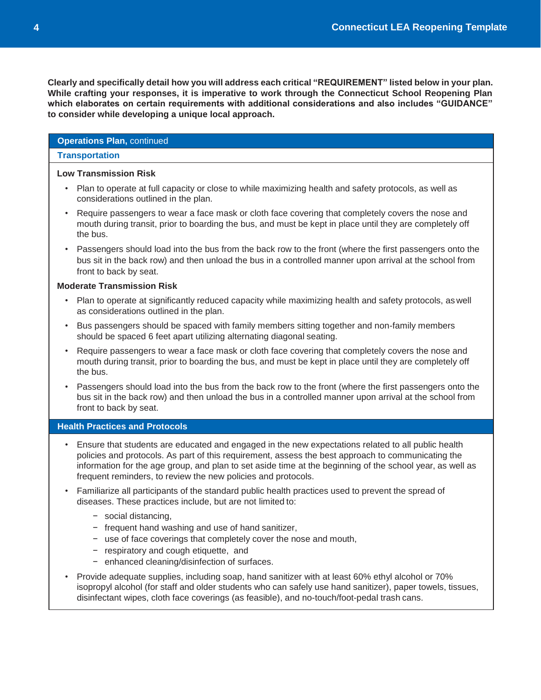# **Operations Plan,** continued

#### **Transportation**

#### **Low Transmission Risk**

- Plan to operate at full capacity or close to while maximizing health and safety protocols, as well as considerations outlined in the plan.
- Require passengers to wear a face mask or cloth face covering that completely covers the nose and mouth during transit, prior to boarding the bus, and must be kept in place until they are completely off the bus.
- Passengers should load into the bus from the back row to the front (where the first passengers onto the bus sit in the back row) and then unload the bus in a controlled manner upon arrival at the school from front to back by seat.

#### **Moderate Transmission Risk**

- Plan to operate at significantly reduced capacity while maximizing health and safety protocols, as well as considerations outlined in the plan.
- Bus passengers should be spaced with family members sitting together and non-family members should be spaced 6 feet apart utilizing alternating diagonal seating.
- Require passengers to wear a face mask or cloth face covering that completely covers the nose and mouth during transit, prior to boarding the bus, and must be kept in place until they are completely off the bus.
- Passengers should load into the bus from the back row to the front (where the first passengers onto the bus sit in the back row) and then unload the bus in a controlled manner upon arrival at the school from front to back by seat.

#### **Health Practices and Protocols**

- Ensure that students are educated and engaged in the new expectations related to all public health policies and protocols. As part of this requirement, assess the best approach to communicating the information for the age group, and plan to set aside time at the beginning of the school year, as well as frequent reminders, to review the new policies and protocols.
- Familiarize all participants of the standard public health practices used to prevent the spread of diseases. These practices include, but are not limited to:
	- − social distancing,
	- − frequent hand washing and use of hand sanitizer,
	- − use of face coverings that completely cover the nose and mouth,
	- − respiratory and cough etiquette, and
	- − enhanced cleaning/disinfection of surfaces.
- Provide adequate supplies, including soap, hand sanitizer with at least 60% ethyl alcohol or 70% isopropyl alcohol (for staff and older students who can safely use hand sanitizer), paper towels, tissues, disinfectant wipes, cloth face coverings (as feasible), and no-touch/foot-pedal trash cans.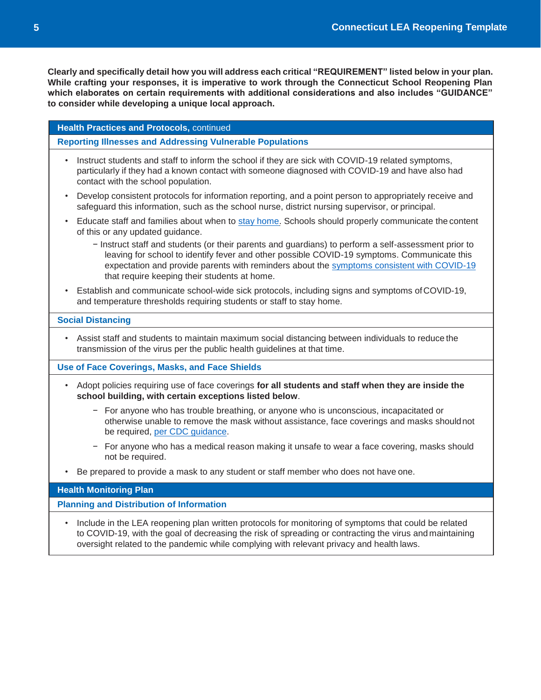| <b>Health Practices and Protocols, continued</b> |  |  |
|--------------------------------------------------|--|--|
|--------------------------------------------------|--|--|

**Reporting Illnesses and Addressing Vulnerable Populations**

- Instruct students and staff to inform the school if they are sick with COVID-19 related symptoms, particularly if they had a known contact with someone diagnosed with COVID-19 and have also had contact with the school population.
- Develop consistent protocols for information reporting, and a point person to appropriately receive and safeguard this information, such as the school nurse, district nursing supervisor, or principal.
- Educate staff and families about when to [stay home.](https://www.cdc.gov/coronavirus/2019-ncov/community/schools-childcare/schools.html) Schools should properly communicate the content of this or any updated guidance.
	- − Instruct staff and students (or their parents and guardians) to perform a self-assessment prior to leaving for school to identify fever and other possible COVID-19 symptoms. Communicate this expectation and provide parents with reminders about the [symptoms consistent with COVID-19](https://www.cdc.gov/coronavirus/2019-ncov/symptoms-testing/symptoms.html) that require keeping their students at home.
- Establish and communicate school-wide sick protocols, including signs and symptoms ofCOVID-19, and temperature thresholds requiring students or staff to stay home.

#### **Social Distancing**

• Assist staff and students to maintain maximum social distancing between individuals to reduce the transmission of the virus per the public health guidelines at that time.

**Use of Face Coverings, Masks, and Face Shields**

- Adopt policies requiring use of face coverings **for all students and staff when they are inside the school building, with certain exceptions listed below**.
	- − For anyone who has trouble breathing, or anyone who is unconscious, incapacitated or otherwise unable to remove the mask without assistance, face coverings and masks shouldnot be required, per CDC [guidance.](https://www.cdc.gov/coronavirus/2019-ncov/prevent-getting-sick/how-to-wear-cloth-face-coverings.html)
	- − For anyone who has a medical reason making it unsafe to wear a face covering, masks should not be required.
- Be prepared to provide a mask to any student or staff member who does not have one.

#### **Health Monitoring Plan**

**Planning and Distribution of Information**

• Include in the LEA reopening plan written protocols for monitoring of symptoms that could be related to COVID-19, with the goal of decreasing the risk of spreading or contracting the virus and maintaining oversight related to the pandemic while complying with relevant privacy and health laws.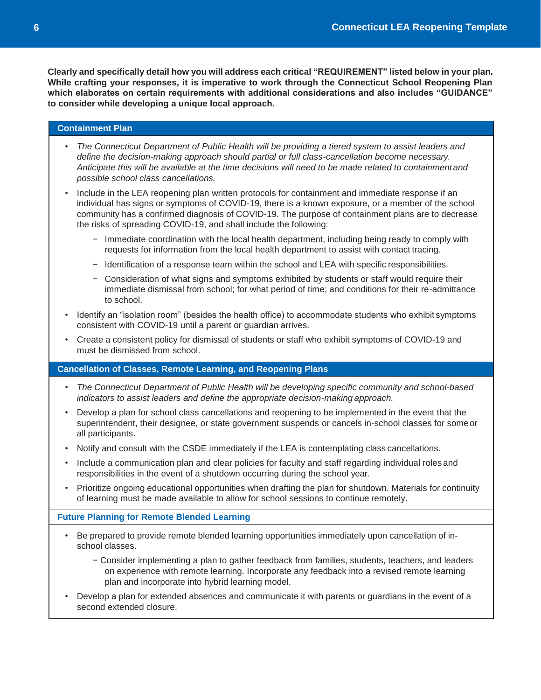#### **Containment Plan**

- *• The Connecticut Department of Public Health will be providing a tiered system to assist leaders and define the decision-making approach should partial or full class-cancellation become necessary. Anticipate this will be available at the time decisions will need to be made related to containmentand possible school class cancellations.*
- Include in the LEA reopening plan written protocols for containment and immediate response if an individual has signs or symptoms of COVID-19, there is a known exposure, or a member of the school community has a confirmed diagnosis of COVID-19. The purpose of containment plans are to decrease the risks of spreading COVID-19, and shall include the following:
	- − Immediate coordination with the local health department, including being ready to comply with requests for information from the local health department to assist with contact tracing.
	- − Identification of a response team within the school and LEA with specific responsibilities.
	- − Consideration of what signs and symptoms exhibited by students or staff would require their immediate dismissal from school; for what period of time; and conditions for their re-admittance to school.
- Identify an "isolation room" (besides the health office) to accommodate students who exhibit symptoms consistent with COVID-19 until a parent or guardian arrives.
- Create a consistent policy for dismissal of students or staff who exhibit symptoms of COVID-19 and must be dismissed from school.

# **Cancellation of Classes, Remote Learning, and Reopening Plans**

- *• The Connecticut Department of Public Health will be developing specific community and school-based indicators to assist leaders and define the appropriate decision-making approach.*
- Develop a plan for school class cancellations and reopening to be implemented in the event that the superintendent, their designee, or state government suspends or cancels in-school classes for someor all participants.
- Notify and consult with the CSDE immediately if the LEA is contemplating class cancellations.
- Include a communication plan and clear policies for faculty and staff regarding individual roles and responsibilities in the event of a shutdown occurring during the school year.
- Prioritize ongoing educational opportunities when drafting the plan for shutdown. Materials for continuity of learning must be made available to allow for school sessions to continue remotely.

#### **Future Planning for Remote Blended Learning**

- Be prepared to provide remote blended learning opportunities immediately upon cancellation of inschool classes.
	- − Consider implementing a plan to gather feedback from families, students, teachers, and leaders on experience with remote learning. Incorporate any feedback into a revised remote learning plan and incorporate into hybrid learning model.
- Develop a plan for extended absences and communicate it with parents or guardians in the event of a second extended closure.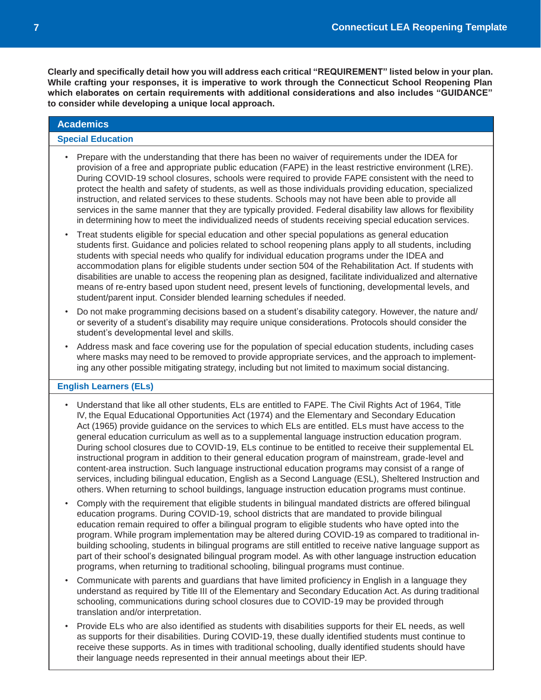# **Academics Special Education** • Prepare with the understanding that there has been no waiver of requirements under the IDEA for provision of a free and appropriate public education (FAPE) in the least restrictive environment (LRE).

- During COVID-19 school closures, schools were required to provide FAPE consistent with the need to protect the health and safety of students, as well as those individuals providing education, specialized instruction, and related services to these students. Schools may not have been able to provide all services in the same manner that they are typically provided. Federal disability law allows for flexibility in determining how to meet the individualized needs of students receiving special education services.
- Treat students eligible for special education and other special populations as general education students first. Guidance and policies related to school reopening plans apply to all students, including students with special needs who qualify for individual education programs under the IDEA and accommodation plans for eligible students under section 504 of the Rehabilitation Act. If students with disabilities are unable to access the reopening plan as designed, facilitate individualized and alternative means of re-entry based upon student need, present levels of functioning, developmental levels, and student/parent input. Consider blended learning schedules if needed.
- Do not make programming decisions based on a student's disability category. However, the nature and/ or severity of a student's disability may require unique considerations. Protocols should consider the student's developmental level and skills.
- Address mask and face covering use for the population of special education students, including cases where masks may need to be removed to provide appropriate services, and the approach to implementing any other possible mitigating strategy, including but not limited to maximum social distancing.

# **English Learners (ELs)**

- Understand that like all other students, ELs are entitled to FAPE. The Civil Rights Act of 1964, Title IV, the Equal Educational Opportunities Act (1974) and the Elementary and Secondary Education Act (1965) provide guidance on the services to which ELs are entitled. ELs must have access to the general education curriculum as well as to a supplemental language instruction education program. During school closures due to COVID-19, ELs continue to be entitled to receive their supplemental EL instructional program in addition to their general education program of mainstream, grade-level and content-area instruction. Such language instructional education programs may consist of a range of services, including bilingual education, English as a Second Language (ESL), Sheltered Instruction and others. When returning to school buildings, language instruction education programs must continue.
- Comply with the requirement that eligible students in bilingual mandated districts are offered bilingual education programs. During COVID-19, school districts that are mandated to provide bilingual education remain required to offer a bilingual program to eligible students who have opted into the program. While program implementation may be altered during COVID-19 as compared to traditional inbuilding schooling, students in bilingual programs are still entitled to receive native language support as part of their school's designated bilingual program model. As with other language instruction education programs, when returning to traditional schooling, bilingual programs must continue.
- Communicate with parents and guardians that have limited proficiency in English in a language they understand as required by Title III of the Elementary and Secondary Education Act. As during traditional schooling, communications during school closures due to COVID-19 may be provided through translation and/or interpretation.
- Provide ELs who are also identified as students with disabilities supports for their EL needs, as well as supports for their disabilities. During COVID-19, these dually identified students must continue to receive these supports. As in times with traditional schooling, dually identified students should have their language needs represented in their annual meetings about their IEP.